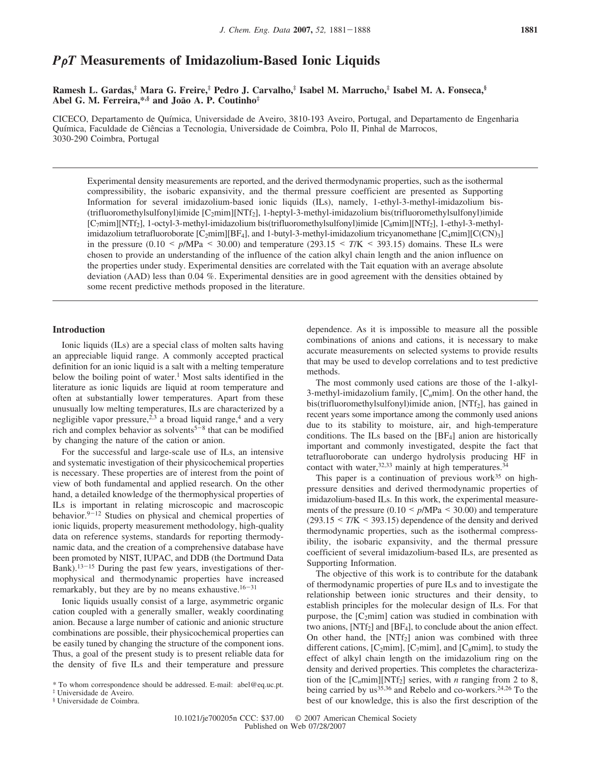# *P*G*T* **Measurements of Imidazolium-Based Ionic Liquids**

**Ramesh L. Gardas,‡ Mara G. Freire,‡ Pedro J. Carvalho,‡ Isabel M. Marrucho,‡ Isabel M. A. Fonseca,§ Abel G. M. Ferreira,\*,§ and Joa**˜**o A. P. Coutinho‡**

CICECO, Departamento de Quı´mica, Universidade de Aveiro, 3810-193 Aveiro, Portugal, and Departamento de Engenharia Química, Faculdade de Ciências a Tecnologia, Universidade de Coimbra, Polo II, Pinhal de Marrocos, 3030-290 Coimbra, Portugal

Experimental density measurements are reported, and the derived thermodynamic properties, such as the isothermal compressibility, the isobaric expansivity, and the thermal pressure coefficient are presented as Supporting Information for several imidazolium-based ionic liquids (ILs), namely, 1-ethyl-3-methyl-imidazolium bis- (trifluoromethylsulfonyl)imide [C2mim][NTf2], 1-heptyl-3-methyl-imidazolium bis(trifluoromethylsulfonyl)imide  $[C_7$ mim][NTf<sub>2</sub>], 1-octyl-3-methyl-imidazolium bis(trifluoromethylsulfonyl)imide  $[C_8$ mim][NTf<sub>2</sub>], 1-ethyl-3-methylimidazolium tetrafluoroborate  $[C_2mim][BF_4]$ , and 1-butyl-3-methyl-imidazolium tricyanomethane  $[C_4mim][C(CN)_3]$ in the pressure (0.10  $\leq p/\text{MPa} \leq 30.00$ ) and temperature (293.15  $\leq T/\text{K} \leq 393.15$ ) domains. These ILs were chosen to provide an understanding of the influence of the cation alkyl chain length and the anion influence on the properties under study. Experimental densities are correlated with the Tait equation with an average absolute deviation (AAD) less than 0.04 %. Experimental densities are in good agreement with the densities obtained by some recent predictive methods proposed in the literature.

# **Introduction**

Ionic liquids (ILs) are a special class of molten salts having an appreciable liquid range. A commonly accepted practical definition for an ionic liquid is a salt with a melting temperature below the boiling point of water.<sup>1</sup> Most salts identified in the literature as ionic liquids are liquid at room temperature and often at substantially lower temperatures. Apart from these unusually low melting temperatures, ILs are characterized by a negligible vapor pressure,<sup> $2,3$ </sup> a broad liquid range,<sup>4</sup> and a very rich and complex behavior as solvents<sup>5-8</sup> that can be modified by changing the nature of the cation or anion.

For the successful and large-scale use of ILs, an intensive and systematic investigation of their physicochemical properties is necessary. These properties are of interest from the point of view of both fundamental and applied research. On the other hand, a detailed knowledge of the thermophysical properties of ILs is important in relating microscopic and macroscopic behavior. $9-12$  Studies on physical and chemical properties of ionic liquids, property measurement methodology, high-quality data on reference systems, standards for reporting thermodynamic data, and the creation of a comprehensive database have been promoted by NIST, IUPAC, and DDB (the Dortmund Data Bank). $13-15$  During the past few years, investigations of thermophysical and thermodynamic properties have increased remarkably, but they are by no means exhaustive.<sup>16-31</sup>

Ionic liquids usually consist of a large, asymmetric organic cation coupled with a generally smaller, weakly coordinating anion. Because a large number of cationic and anionic structure combinations are possible, their physicochemical properties can be easily tuned by changing the structure of the component ions. Thus, a goal of the present study is to present reliable data for the density of five ILs and their temperature and pressure

‡ Universidade de Aveiro. § Universidade de Coimbra.

dependence. As it is impossible to measure all the possible combinations of anions and cations, it is necessary to make accurate measurements on selected systems to provide results that may be used to develop correlations and to test predictive methods.

The most commonly used cations are those of the 1-alkyl-3-methyl-imidazolium family, [C*n*mim]. On the other hand, the bis(trifluoromethylsulfonyl)imide anion, [NTf<sub>2</sub>], has gained in recent years some importance among the commonly used anions due to its stability to moisture, air, and high-temperature conditions. The ILs based on the  $[BF<sub>4</sub>]$  anion are historically important and commonly investigated, despite the fact that tetrafluoroborate can undergo hydrolysis producing HF in contact with water,  $32,33$  mainly at high temperatures.  $34$ 

This paper is a continuation of previous work $35$  on highpressure densities and derived thermodynamic properties of imidazolium-based ILs. In this work, the experimental measurements of the pressure (0.10 < *p*/MPa < 30.00) and temperature (293.15 < *T*/K < 393.15) dependence of the density and derived thermodynamic properties, such as the isothermal compressibility, the isobaric expansivity, and the thermal pressure coefficient of several imidazolium-based ILs, are presented as Supporting Information.

The objective of this work is to contribute for the databank of thermodynamic properties of pure ILs and to investigate the relationship between ionic structures and their density, to establish principles for the molecular design of ILs. For that purpose, the  $[C_2mim]$  cation was studied in combination with two anions,  $[NTf_2]$  and  $[BF_4]$ , to conclude about the anion effect. On other hand, the  $[NTf_2]$  anion was combined with three different cations, [C<sub>2</sub>mim], [C<sub>7</sub>mim], and [C<sub>8</sub>mim], to study the effect of alkyl chain length on the imidazolium ring on the density and derived properties. This completes the characterization of the  $[C_n \text{min}][\text{NTf}_2]$  series, with *n* ranging from 2 to 8, being carried by us<sup>35,36</sup> and Rebelo and co-workers.<sup>24,26</sup> To the best of our knowledge, this is also the first description of the

<sup>\*</sup> To whom correspondence should be addressed. E-mail: abel@eq.uc.pt.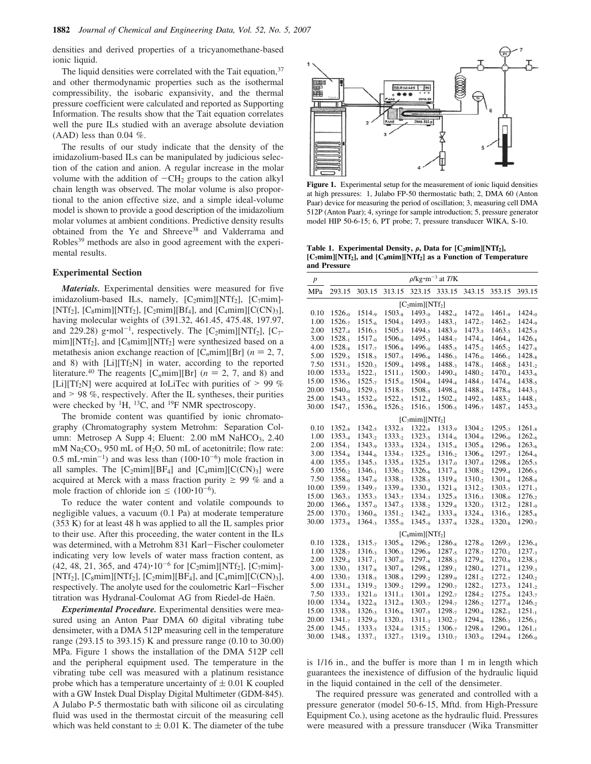densities and derived properties of a tricyanomethane-based ionic liquid.

The liquid densities were correlated with the Tait equation, 37 and other thermodynamic properties such as the isothermal compressibility, the isobaric expansivity, and the thermal pressure coefficient were calculated and reported as Supporting Information. The results show that the Tait equation correlates well the pure ILs studied with an average absolute deviation  $(AAD)$  less than 0.04 %.

The results of our study indicate that the density of the imidazolium-based ILs can be manipulated by judicious selection of the cation and anion. A regular increase in the molar volume with the addition of  $-CH_2$  groups to the cation alkyl chain length was observed. The molar volume is also proportional to the anion effective size, and a simple ideal-volume model is shown to provide a good description of the imidazolium molar volumes at ambient conditions. Predictive density results obtained from the Ye and Shreeve<sup>38</sup> and Valderrama and Robles<sup>39</sup> methods are also in good agreement with the experimental results.

## **Experimental Section**

*Materials.* Experimental densities were measured for five imidazolium-based ILs, namely,  $[C_2min][NTf_2]$ ,  $[C_7min]$ -[NTf<sub>2</sub>], [C<sub>8</sub>mim][NTf<sub>2</sub>], [C<sub>2</sub>mim][Bf<sub>4</sub>], and [C<sub>4</sub>mim][C(CN)<sub>3</sub>], having molecular weights of (391.32, 461.45, 475.48, 197.97, and 229.28) g·mol<sup>-1</sup>, respectively. The  $[C_2min][NTf_2]$ ,  $[C_7$ mim][NTf<sub>2</sub>], and [C<sub>8</sub>mim][NTf<sub>2</sub>] were synthesized based on a metathesis anion exchange reaction of  $[C_n \text{min}][\text{Br}]$  ( $n = 2, 7$ , and 8) with  $[Li][Tf_2N]$  in water, according to the reported literature.<sup>40</sup> The reagents [C<sub>n</sub>mim][Br] ( $n = 2, 7$ , and 8) and [Li][Tf<sub>2</sub>N] were acquired at IoLiTec with purities of  $> 99\%$ and  $> 98\%$ , respectively. After the IL syntheses, their purities were checked by  ${}^{1}H$ ,  ${}^{13}C$ , and  ${}^{19}F$  NMR spectroscopy.

The bromide content was quantified by ionic chromatography (Chromatography system Metrohm: Separation Column: Metrosep A Supp 4; Eluent: 2.00 mM NaHCO<sub>3</sub>, 2.40 mM  $\text{Na}_2\text{CO}_3$ , 950 mL of H<sub>2</sub>O, 50 mL of acetonitrile; flow rate:  $0.5$  mL·min<sup>-1</sup>) and was less than  $(100 \cdot 10^{-6})$  mole fraction in all samples. The  $[C_2mim][BF_4]$  and  $[C_4mim][C(CN)_3]$  were acquired at Merck with a mass fraction purity  $\geq 99$  % and a mole fraction of chloride ion  $\leq (100 \cdot 10^{-6})$ .

To reduce the water content and volatile compounds to negligible values, a vacuum (0.1 Pa) at moderate temperature (353 K) for at least 48 h was applied to all the IL samples prior to their use. After this proceeding, the water content in the ILs was determined, with a Metrohm 831 Karl-Fischer coulometer indicating very low levels of water mass fraction content, as  $(42, 48, 21, 365, \text{ and } 474) \cdot 10^{-6}$  for [C<sub>2</sub>mim][NTf<sub>2</sub>], [C<sub>7</sub>mim]-[NTf<sub>2</sub>], [C<sub>8</sub>mim][NTf<sub>2</sub>], [C<sub>2</sub>mim][BF<sub>4</sub>], and [C<sub>4</sub>mim][C(CN)<sub>3</sub>], respectively. The anolyte used for the coulometric Karl-Fischer titration was Hydranal-Coulomat AG from Riedel-de Haën.

*Experimental Procedure.* Experimental densities were measured using an Anton Paar DMA 60 digital vibrating tube densimeter, with a DMA 512P measuring cell in the temperature range (293.15 to 393.15) K and pressure range (0.10 to 30.00) MPa. Figure 1 shows the installation of the DMA 512P cell and the peripheral equipment used. The temperature in the vibrating tube cell was measured with a platinum resistance probe which has a temperature uncertainty of  $\pm$  0.01 K coupled with a GW Instek Dual Display Digital Multimeter (GDM-845). A Julabo P-5 thermostatic bath with silicone oil as circulating fluid was used in the thermostat circuit of the measuring cell which was held constant to  $\pm$  0.01 K. The diameter of the tube



**Figure 1.** Experimental setup for the measurement of ionic liquid densities at high pressures: 1, Julabo FP-50 thermostatic bath; 2, DMA 60 (Anton Paar) device for measuring the period of oscillation; 3, measuring cell DMA 512P (Anton Paar); 4, syringe for sample introduction; 5, pressure generator model HIP 50-6-15; 6, PT probe; 7, pressure transducer WIKA, S-10.

Table 1. Experimental Density,  $\rho$ , Data for  $[C_2 \text{min}][NTf_2]$ , **[C7mim][NTf2], and [C8mim][NTf2] as a Function of Temperature and Pressure**

| p         |                    |                    |                    |                        | $\rho$ /kg·m <sup>-3</sup> at <i>T</i> /K |                    |                    |                    |  |  |  |
|-----------|--------------------|--------------------|--------------------|------------------------|-------------------------------------------|--------------------|--------------------|--------------------|--|--|--|
| MPa       | 293.15             | 303.15             | 313.15             | 323.15                 | 333.15                                    | 343.15             | 353.15             | 393.15             |  |  |  |
|           | $[C_2min][NTt_2]$  |                    |                    |                        |                                           |                    |                    |                    |  |  |  |
| $_{0.10}$ | 1526. <sub>0</sub> | 1514.9             | $1503_{-8}$        | $1493_{-0}$            | 1482.4                                    | 1472. <sub>0</sub> | و.1461             | 1424.0             |  |  |  |
| 1.00      | 1526.7             | 1515.6             | 1504.5             | 1493. <sub>7</sub>     | 1483.1                                    | 1472.7             | 1462.7             | و.1424             |  |  |  |
| 2.00      | 1527.4             | 1516.3             | 1505.3             | 1494. <sub>5</sub>     | 1483.9                                    | 1473.5             | 1463.5             | و.1425             |  |  |  |
| 3.00      | $1528_{-1}$        | $1517_{0}$         | $1506_{0}$         | 1495.3                 | 1484.7                                    | 1474.4             | 1464.4             | $1426_{.8}$        |  |  |  |
| 4.00      | 1528.8             | 1517.7             | 1506. <sub>8</sub> | 1496.0                 | 1485.5                                    | 1475.2             | 1465.2             | 1427.8             |  |  |  |
| 5.00      | 1529. <sub>5</sub> | 1518.5             | $1507_{.5}$        | 1496. <sub>8</sub>     | 1486.3                                    | 1476.0             | 1466.1             | 1428. <sub>8</sub> |  |  |  |
| 7.50      | 1531.3             | $1520_{.3}$        | 1509.4             | 1498. <sub>8</sub>     | 1488.3                                    | 1478.1             | 1468.2             | 1431. <sub>2</sub> |  |  |  |
| 10.00     | 1533.0             | 1522.1             | 1511.3             | 1500.7                 | 1490.4                                    | 1480.2             | 1470.4             | 1433.6             |  |  |  |
| 15.00     | 1536.5             | 1525.7             | $1515_{0}$         | 1504. <sub>6</sub>     | 1494.4                                    | 1484.3             | 1474. <sub>6</sub> | 1438.5             |  |  |  |
| 20.00     | 1540.0             | 1529.3             | 1518.7             | 1508.5                 | 1498.4                                    | 1488.4             | 1478.9             | 1443.3             |  |  |  |
| 25.00     | 1543.5             | 1532. <sub>9</sub> | 1522.5             | 1512.4                 | 1502.4                                    | 1492.5             | 1483.2             | 1448.1             |  |  |  |
| 30.00     | 1547.,             | 1536.6             | 1526.2             | 1516.3                 | 1506.5                                    | 1496.7             | 1487.5             | 1453.0             |  |  |  |
|           |                    |                    |                    | $ C_7mim  NTt_2 $      |                                           |                    |                    |                    |  |  |  |
| $_{0.10}$ | 1352.8             | 1342.5             | 1332.5             | 1322.8                 | 1313.9                                    | 1304.2             | 1295.3             | 1261. <sub>8</sub> |  |  |  |
| 1.00      | 1353.4             | 1343.2             | 1333.2             | 1323.5                 | 1314.6                                    | 1304. <sub>9</sub> | 1296.0             | 1262.6             |  |  |  |
| 2.00      | 1354.1             | 1343. <sub>9</sub> | 1333.9             | 1324.3                 | 1315.4                                    | $1305_{8}$         | 1296.9             | 1263.6             |  |  |  |
| 3.00      | 1354. <sub>8</sub> | 1344.6             | 1334.7             | 1325.0                 | 1316.2                                    | 1306.6             | 1297.7             | 1264.6             |  |  |  |
| 4.00      | 1355.5             | 1345.3             | 1335.4             | $1325_{.8}$            | $1317_{0}$                                | 1307.4             | 1298.6             | 1265.5             |  |  |  |
| 5.00      | 1356.2             | 1346.1             | 1336.2             | 1326.6                 | 1317. <sub>8</sub>                        | 1308.2             | 1299.4             | 1266.5             |  |  |  |
| 7.50      | 1358.0             | 1347.9             | 1338.1             | 1328.5                 | 1319. <sub>8</sub>                        | 1310.2             | 1301. <sub>6</sub> | 1268.9             |  |  |  |
| 10.00     | 1359.7             | 1349.7             | 1339. <sub>9</sub> | 1330.4                 | $1321_{.8}$                               | 1312.2             | 1303.7             | 1271.3             |  |  |  |
| 15.00     | 1363.3             | 1353.3             | 1343.7             | 1334.3                 | 1325. <sub>8</sub>                        | 1316.3             | 1308.0             | 1276.2             |  |  |  |
| 20.00     | 1366. <sub>8</sub> | 1357.0             | 1347.5             | 1338.2                 | 1329. <sub>8</sub>                        | 1320.3             | 1312.2             | $1281_{\cdot 0}$   |  |  |  |
| 25.00     | 1370.3             | 1360. <sub>6</sub> | 1351.2             | 1342.0                 | 1333. <sub>8</sub>                        | 1324.4             | 1316.5             | 1285.8             |  |  |  |
| 30.00     | 1373. <sub>8</sub> | 1364.3             | $1355_{0}$         | 1345. <sub>9</sub>     | 1337. <sub>8</sub>                        | 1328.4             | 1320. <sub>8</sub> | 1290.7             |  |  |  |
|           |                    |                    |                    | $ C_8$ mim $  NTf_2  $ |                                           |                    |                    |                    |  |  |  |
| 0.10      | 1328.1             | 1315.7             | 1305.6             | 1296.2                 | 1286. <sub>8</sub>                        | $1278_{0}$         | 1269.3             | 1236.4             |  |  |  |
| 1.00      | 1328.7             | 1316.3             | 1306.3             | 1296.9                 | 1287.5                                    | 1278.7             | 1270.1             | $1237_{.3}$        |  |  |  |
| 2.00      | 1329.4             | 1317.1             | $1307_{-0}$        | 1297. <sub>6</sub>     | 1288.3                                    | 1279. <sub>6</sub> | 1270. <sub>9</sub> | 1238.3             |  |  |  |
| 3.00      | 1330.1             | 1317. <sub>8</sub> | 1307 <sub>-8</sub> | 1298.4                 | 1289.                                     | 1280.4             | 1271. <sub>8</sub> | 1239.3             |  |  |  |
| 4.00      | 1330.7             | 1318.5             | 1308.5             | 1299.2                 | 1289.9                                    | 1281.2             | 1272.7             | 1240.2             |  |  |  |
| 5.00      | 1331.4             | 1319.2             | 1309.2             | 1299.9                 | 1290.7                                    | 1282.1             | 1273.5             | 1241.2             |  |  |  |
| 7.50      | 1333.1             | 1321.0             | 1311.1             | 1301. <sub>8</sub>     | 1292.7                                    | 1284.2             | 1275.6             | 1243.7             |  |  |  |
| 10.00     | 1334. <sub>8</sub> | 1322. <sub>8</sub> | 1312.9             | 1303.7                 | 1294.7                                    | 1286.2             | $1277_{-8}$        | 1246. <sub>2</sub> |  |  |  |
| 15.00     | 1338.3             | 1326.3             | 1316.6             | 1307.5                 | 1298. <sub>7</sub>                        | 1290.4             | 1282.1             | 1251.1             |  |  |  |
| 20.00     | 1341.7             | 1329.9             | 1320.3             | 1311.3                 | 1302.7                                    | 1294.6             | 1286.3             | 1256.1             |  |  |  |
| 25.00     | 1345.1             | 1333.5             | 1324. <sub>0</sub> | 1315.,                 | 1306.7                                    | 1298. <sub>8</sub> | 1290. <sub>6</sub> | 1261. <sub>1</sub> |  |  |  |
| 30.00     | 1348.5             | 1337.1             | 1327.7             | 1319.0                 | 1310.7                                    | 1303.0             | و.1294             | 1266.0             |  |  |  |

is 1/16 in., and the buffer is more than 1 m in length which guarantees the inexistence of diffusion of the hydraulic liquid in the liquid contained in the cell of the densimeter.

The required pressure was generated and controlled with a pressure generator (model 50-6-15, Mftd. from High-Pressure Equipment Co.), using acetone as the hydraulic fluid. Pressures were measured with a pressure transducer (Wika Transmitter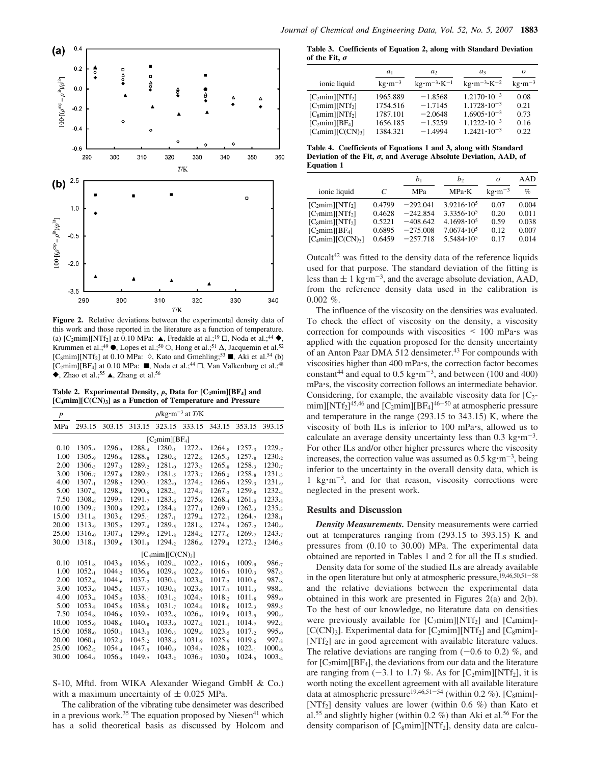

**Figure 2.** Relative deviations between the experimental density data of this work and those reported in the literature as a function of temperature. (a)  $[C_2 \text{mim}][\text{NTf}_2]$  at 0.10 MPa:  $\blacktriangle$ , Fredakle at al.;<sup>19</sup>  $\Box$ , Noda et al.;<sup>44</sup>  $\blacklozenge$ , Krummen et al.;<sup>49</sup>  $\bullet$ , Lopes et al.;<sup>50</sup> ○, Hong et al.;<sup>51</sup> △, Jacquemin et al.<sup>52</sup> [C<sub>8</sub>mim][NTf<sub>2</sub>] at 0.10 MPa:  $\Diamond$ , Kato and Gmehling;<sup>53</sup> , Aki et al.<sup>54</sup> (b)  $[C_2$ mim][BF<sub>4</sub>] at 0.10 MPa: , Noda et al.;<sup>44</sup>  $\Box$ , Van Valkenburg et al.;<sup>48</sup>  $\blacklozenge$ , Zhao et al.;<sup>55</sup>  $\blacktriangle$ , Zhang et al.<sup>56</sup>

Table 2. Experimental Density,  $\rho$ , Data for  $[C_2min][BF_4]$  and **[C4mim][C(CN)3] as a Function of Temperature and Pressure**

| $\boldsymbol{p}$ |                                        |                    |             |                     | $\rho$ /kg·m <sup>-3</sup> at <i>T</i> /K |             |                    |                   |  |  |
|------------------|----------------------------------------|--------------------|-------------|---------------------|-------------------------------------------|-------------|--------------------|-------------------|--|--|
| MPa              | 293.15                                 | 303.15             | 313.15      | 323.15              | 333.15                                    | 343.15      | 353.15             | 393.15            |  |  |
|                  | [C <sub>2</sub> min][BF <sub>4</sub> ] |                    |             |                     |                                           |             |                    |                   |  |  |
| 0.10             | 1305.5                                 | 1296.5             | 1288.4      | 1280.1              | 1272.3                                    | $1264_{.8}$ | 1257.3             | 1229.7            |  |  |
| 1.00             | 1305.9                                 | 1296.9             | $1288_{.8}$ | $1280_{.6}$         | $1272_{.8}$                               | 1265.3      | $1257_{.8}$        | 1230.2            |  |  |
| 2.00             | 1306.3                                 | $1297_{.3}$        | 1289.5      | $1281_{0}$          | 1273.3                                    | $1265_{.8}$ | 1258.3             | 1230.7            |  |  |
| 3.00             | 1306.7                                 | 1297. <sub>8</sub> | 1289.7      | 1281.5              | 1273.7                                    | 1266.2      | 1258. <sub>8</sub> | 1231.3            |  |  |
| 4.00             | $1307_{-1}$                            | 1298.2             | 1290.1      | $1282_{0}$          | 1274,                                     | 1266.7      | 1259.3             | 1231.9            |  |  |
| 5.00             | 1307.6                                 | 1298.6             | 1290.6      | 1282.4              | 1274.7                                    | 1267.2      | $1259_{.8}$        | 1232.4            |  |  |
| 7.50             | 1308.6                                 | 1299.7             | 1291.7      | $1283_{-6}$         | $1275_{.9}$                               | 1268.4      | $1261_{\cdot 0}$   | $1233_{-8}$       |  |  |
| 10.00            | 1309.7                                 | $1300_{.8}$        | 1292.9      | $1284_{.8}$         | $1277_{-1}$                               | 1269.7      | $1262_{.3}$        | 1235.3            |  |  |
| 15.00            | 1311.x                                 | $1303_{.0}$        | 1295.1      | 1287.1              | 1279.4                                    | 1272.1      | 1264.7             | 1238.1            |  |  |
| 20.00            | 1313.9                                 | 1305.2             | 1297.4      | 1289.5              | $1281_{.8}$                               | 1274.5      | 1267.2             | 1240.9            |  |  |
| 25.00            | $1316_{0}$                             | 1307.4             | 1299.6      | $1291_s$            | 1284.2                                    | $1277_{.0}$ | 1269.7             | 1243.7            |  |  |
| 30.00            | 1318.1                                 | 1309.6             | $1301_{.9}$ | 1294.2              | 1286.6                                    | 1279.4      | 1272,2             | 1246.5            |  |  |
|                  |                                        |                    |             | $[C_4min][C(CN)_3]$ |                                           |             |                    |                   |  |  |
| 0.10             | $1051_{.8}$                            | $1043_{.8}$        | 1036.3      | $1029_{.4}$         | $1022_{.5}$                               | 1016.3      | 1009.9             | 986.7             |  |  |
| 1.00             | $1052_{-1}$                            | 1044.2             | $1036_{.8}$ | $1029_{.8}$         | 1022.9                                    | 1016.7      | 1010.3             | 987.3             |  |  |
| 2.00             | $1052_{.6}$                            | $1044_{.6}$        | 1037.2      | 1030.3              | $1023_{.4}$                               | 1017.2      | $1010_{.8}$        | $987_{.8}$        |  |  |
| 3.00             | $1053_{-0}$                            | 1045.0             | 1037.7      | $1030_{.8}$         | $1023_{.9}$                               | 1017.7      | 1011.3             | 988.4             |  |  |
| 4.00             | 1053.4                                 | 1045.5             | 1038.1      | 1031.2              | 1024.3                                    | 1018.2      | 1011.x             | 989.0             |  |  |
| 5.00             | $1053_{.8}$                            | 1045.9             | 1038.5      | 1031.7              | $1024_{.8}$                               | 1018.6      | $1012_{.3}$        | 989.,             |  |  |
| 7.50             | $1054_{.8}$                            | 1046.9             | 1039.7      | $1032_{.8}$         | $1026_{0}$                                | 1019.9      | 1013.5             | 990.9             |  |  |
| 10.00            | 1055.9                                 | $1048_{\cdot 0}$   | $1040_{.8}$ | $1033_{.9}$         | 1027.2                                    | $1021_{-1}$ | 1014.7             | $992_{.3}$        |  |  |
| 15.00            | $1058_{\cdot 0}$                       | $1050_{-1}$        | $1043_{-0}$ | 1036.3              | $1029_{.6}$                               | 1023.5      | 1017.2             | $995_{0}$         |  |  |
| 20.00            | 1060.1                                 | 1052.3             | 1045.2      | 1038.6              | 1031.9                                    | 1025.9      | 1019.6             | 997 <sub>-8</sub> |  |  |
| 25.00            | 1062.2                                 | $1054_{.4}$        | 1047.5      | 1040.9              | 1034.3                                    | 1028.3      | $1022_{-1}$        | $1000_{.6}$       |  |  |
| 30.00            | 1064.3                                 | 1056.5             | 1049.7      | 1043.2              | 1036.7                                    | $1030_{.8}$ | 1024.5             | 1003.4            |  |  |

S-10, Mftd. from WIKA Alexander Wiegand GmbH & Co.) with a maximum uncertainty of  $\pm$  0.025 MPa.

The calibration of the vibrating tube densimeter was described in a previous work.<sup>35</sup> The equation proposed by Niesen<sup>41</sup> which has a solid theoretical basis as discussed by Holcom and

**Table 3. Coefficients of Equation 2, along with Standard Deviation of the Fit,** σ

|                                                                                                                             | $a_1$                                                    | a <sub>2</sub>                                                | $a_3$                                                                                                                          | σ                                    |
|-----------------------------------------------------------------------------------------------------------------------------|----------------------------------------------------------|---------------------------------------------------------------|--------------------------------------------------------------------------------------------------------------------------------|--------------------------------------|
| ionic liquid                                                                                                                | $kg \cdot m^{-3}$                                        | $kg \cdot m^{-3} \cdot K^{-1}$                                | $kg \cdot m^{-3} \cdot K^{-2}$                                                                                                 | $kg \cdot m^{-3}$                    |
| $[C_2min][NTf_2]$<br>$[C_7min][NTf_2]$<br>[C <sub>8</sub> min][NTf <sub>2</sub> ]<br>$[C_2min][BF_4]$<br>$[C_4min][C(CN)3]$ | 1965.889<br>1754.516<br>1787.101<br>1656.185<br>1384.321 | $-1.8568$<br>$-1.7145$<br>$-2.0648$<br>$-1.5259$<br>$-1.4994$ | $1.2170 \cdot 10^{-3}$<br>$1.1728 \cdot 10^{-3}$<br>$1.6905 \cdot 10^{-3}$<br>$1.1222 \cdot 10^{-3}$<br>$1.2421 \cdot 10^{-3}$ | 0.08<br>0.21<br>0.73<br>0.16<br>0.22 |

**Table 4. Coefficients of Equations 1 and 3, along with Standard Deviation of the Fit,** σ**, and Average Absolute Deviation, AAD, of Equation 1**

|                                         |        | $b_1$      | b <sub>2</sub>      | $\sigma$                      | AAD   |
|-----------------------------------------|--------|------------|---------------------|-------------------------------|-------|
| ionic liquid                            | C      | MPa        | $MPa \cdot K$       | $\text{kg}\cdot\text{m}^{-3}$ | $\%$  |
| [C <sub>2</sub> min][NTf <sub>2</sub> ] | 0.4799 | $-292.041$ | $3.9216 \cdot 10^5$ | 0.07                          | 0.004 |
| [C <sub>7</sub> min][NTf <sub>2</sub> ] | 0.4628 | $-242.854$ | $3.3356 \cdot 10^5$ | 0.20                          | 0.011 |
| [C <sub>s</sub> min][NTf <sub>2</sub> ] | 0.5221 | $-408.642$ | $4.1698 \cdot 10^5$ | 0.59                          | 0.038 |
| [C <sub>2</sub> min][BF <sub>4</sub> ]  | 0.6895 | $-275.008$ | $7.0674 \cdot 10^5$ | 0.12                          | 0.007 |
| $[C_4mim][C(CN)_3]$                     | 0.6459 | $-257.718$ | $5.5484 \cdot 10^5$ | 0.17                          | 0.014 |

Outcal $t^{42}$  was fitted to the density data of the reference liquids used for that purpose. The standard deviation of the fitting is less than  $\pm$  1 kg·m<sup>-3</sup>, and the average absolute deviation, AAD, from the reference density data used in the calibration is  $0.002~\%$ .

The influence of the viscosity on the densities was evaluated. To check the effect of viscosity on the density, a viscosity correction for compounds with viscosities < 100 mPa's was applied with the equation proposed for the density uncertainty of an Anton Paar DMA 512 densimeter.<sup>43</sup> For compounds with viscosities higher than 400 mPa's, the correction factor becomes constant<sup>44</sup> and equal to  $0.5 \text{ kg} \cdot \text{m}^{-3}$ , and between (100 and 400) mPa's, the viscosity correction follows an intermediate behavior. Considering, for example, the available viscosity data for  $[C_2 \text{min}$ [NTf<sub>2</sub>]<sup>45,46</sup> and [C<sub>2</sub>mim][BF<sub>4</sub>]<sup>46–50</sup> at atmospheric pressure and temperature in the range (293.15 to 343.15) K, where the viscosity of both ILs is inferior to 100 mPa's, allowed us to calculate an average density uncertainty less than  $0.3 \text{ kg} \cdot \text{m}^{-3}$ . For other ILs and/or other higher pressures where the viscosity increases, the correction value was assumed as  $0.5 \text{ kg} \cdot \text{m}^{-3}$ , being inferior to the uncertainty in the overall density data, which is 1 kg·m<sup>-3</sup>, and for that reason, viscosity corrections were neglected in the present work.

## **Results and Discussion**

*Density Measurements.* Density measurements were carried out at temperatures ranging from (293.15 to 393.15) K and pressures from (0.10 to 30.00) MPa. The experimental data obtained are reported in Tables 1 and 2 for all the ILs studied.

Density data for some of the studied ILs are already available in the open literature but only at atmospheric pressure,<sup>19,46,50,51-58</sup> and the relative deviations between the experimental data obtained in this work are presented in Figures 2(a) and 2(b). To the best of our knowledge, no literature data on densities were previously available for  $[C_7mim][NTf_2]$  and  $[C_4mim]$ -[C(CN)<sub>3</sub>]. Experimental data for  $[C_2mim][NTf_2]$  and  $[C_8mim]$ -[NTf<sub>2</sub>] are in good agreement with available literature values. The relative deviations are ranging from  $(-0.6 \text{ to } 0.2)$  %, and for  $[C_2min][BF_4]$ , the deviations from our data and the literature are ranging from  $(-3.1 \text{ to } 1.7)$  %. As for  $[C_2 \text{min}][\text{NTf}_2]$ , it is worth noting the excellent agreement with all available literature data at atmospheric pressure<sup>19,46,51-54</sup> (within 0.2 %). [C<sub>8</sub>mim]-[NTf<sub>2</sub>] density values are lower (within 0.6  $%$ ) than Kato et al.<sup>55</sup> and slightly higher (within 0.2  $\%$ ) than Aki et al.<sup>56</sup> For the density comparison of  $[C_8mim][NTf_2]$ , density data are calcu-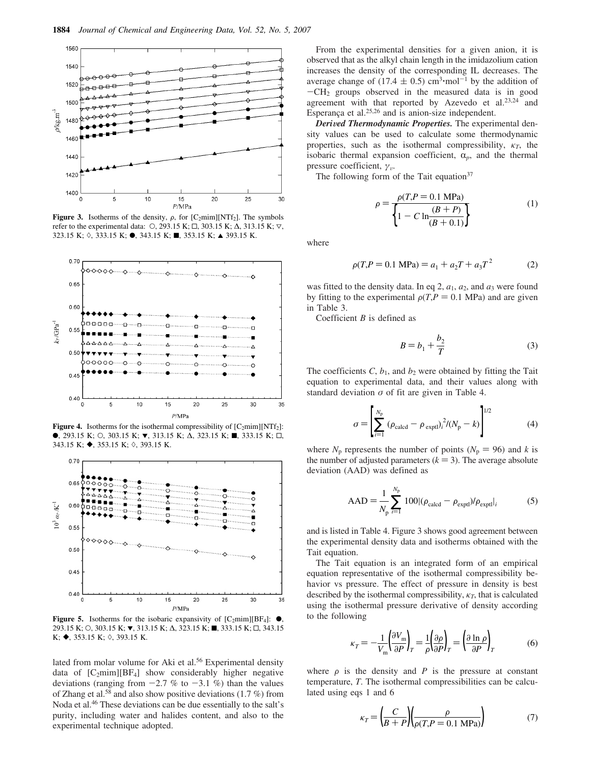

**Figure 3.** Isotherms of the density,  $\rho$ , for  $[C_2 \text{min}][NTf_2]$ . The symbols refer to the experimental data:  $\circ$ , 293.15 K;  $\Box$ , 303.15 K;  $\Delta$ , 313.15 K;  $\nabla$ , 323.15 K; ◊, 333.15 K; ●, 343.15 K; ■, 353.15 K; ▲ 393.15 K.



**Figure 4.** Isotherms for the isothermal compressibility of  $[C_2mim][NTf_2]$ : **•**, 293.15 K; O, 303.15 K; **v**, 313.15 K; Δ, 323.15 K; ■, 333.15 K; □, 343.15 K;  $\blacklozenge$ , 353.15 K;  $\diamond$ , 393.15 K.



**Figure 5.** Isotherms for the isobaric expansivity of  $[C_2 \text{min}][BF_4]$ :  $\bullet$ , 293.15 K; O, 303.15 K; ▼, 313.15 K; △, 323.15 K; ■, 333.15 K; □, 343.15  $K;$   $\blacklozenge$ , 353.15 K;  $\diamond$ , 393.15 K.

lated from molar volume for Aki et al.<sup>56</sup> Experimental density data of  $[C_2mim][BF_4]$  show considerably higher negative deviations (ranging from  $-2.7$  % to  $-3.1$  %) than the values of Zhang et al.<sup>58</sup> and also show positive deviations  $(1.7\%)$  from Noda et al.<sup>46</sup> These deviations can be due essentially to the salt's purity, including water and halides content, and also to the experimental technique adopted.

From the experimental densities for a given anion, it is observed that as the alkyl chain length in the imidazolium cation increases the density of the corresponding IL decreases. The average change of  $(17.4 \pm 0.5)$  cm<sup>3</sup>·mol<sup>-1</sup> by the addition of  $-CH<sub>2</sub>$  groups observed in the measured data is in good agreement with that reported by Azevedo et al. $23,24$  and Esperança et al. $25,26$  and is anion-size independent.

*Derived Thermodynamic Properties.* The experimental density values can be used to calculate some thermodynamic properties, such as the isothermal compressibility,  $\kappa_T$ , the isobaric thermal expansion coefficient,  $\alpha_p$ , and the thermal pressure coefficient,  $\gamma_{\nu}$ .

The following form of the Tait equation $37$ 

$$
\rho = \frac{\rho(T, P = 0.1 \text{ MPa})}{\left\{1 - C \ln \frac{(B + P)}{(B + 0.1)}\right\}}
$$
(1)

where

$$
\rho(T, P = 0.1 \text{ MPa}) = a_1 + a_2 T + a_3 T^2 \tag{2}
$$

was fitted to the density data. In eq 2,  $a_1$ ,  $a_2$ , and  $a_3$  were found by fitting to the experimental  $\rho(T, P = 0.1 \text{ MPa})$  and are given in Table 3.

Coefficient *B* is defined as

$$
B = b_1 + \frac{b_2}{T}
$$
 (3)

The coefficients  $C$ ,  $b_1$ , and  $b_2$  were obtained by fitting the Tait equation to experimental data, and their values along with standard deviation  $\sigma$  of fit are given in Table 4.

$$
\sigma = \left[ \sum_{i=1}^{N_{\rm p}} (\rho_{\rm calcd} - \rho_{\rm exptl})_i^2 / (N_{\rm p} - k) \right]^{1/2}
$$
(4)

where  $N_p$  represents the number of points ( $N_p = 96$ ) and *k* is the number of adjusted parameters  $(k = 3)$ . The average absolute deviation (AAD) was defined as

$$
AAD = \frac{1}{N_{\rm p}} \sum_{i=1}^{N_{\rm p}} 100 |(\rho_{\rm calcd} - \rho_{\rm exptl})/\rho_{\rm exptl}|_i \tag{5}
$$

and is listed in Table 4. Figure 3 shows good agreement between the experimental density data and isotherms obtained with the Tait equation.

The Tait equation is an integrated form of an empirical equation representative of the isothermal compressibility behavior vs pressure. The effect of pressure in density is best described by the isothermal compressibility,  $\kappa_T$ , that is calculated using the isothermal pressure derivative of density according to the following

$$
\kappa_T = -\frac{1}{V_m} \left( \frac{\partial V_m}{\partial P} \right)_T = \frac{1}{\rho} \left( \frac{\partial \rho}{\partial P} \right)_T = \left( \frac{\partial \ln \rho}{\partial P} \right)_T \tag{6}
$$

where  $\rho$  is the density and *P* is the pressure at constant temperature, *T*. The isothermal compressibilities can be calculated using eqs 1 and 6

$$
\kappa_T = \left(\frac{C}{B+P}\right) \left(\frac{\rho}{\rho(T, P = 0.1 \text{ MPa})}\right) \tag{7}
$$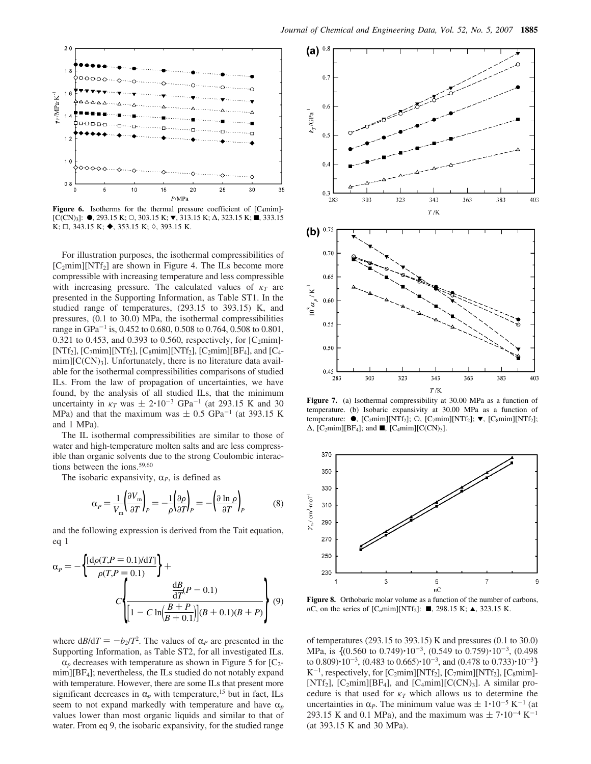

**Figure 6.** Isotherms for the thermal pressure coefficient of  $[C_4 \text{min}]$ - $[C(CN)<sub>3</sub>]:$   $\bullet$ , 293.15 K; ○, 303.15 K;  $\bullet$ , 313.15 K; △, 323.15 K; ■, 333.15  $K; \Box$ , 343.15 K;  $\blacklozenge$ , 353.15 K;  $\diamond$ , 393.15 K.

For illustration purposes, the isothermal compressibilities of  $[C_2min][NTf_2]$  are shown in Figure 4. The ILs become more compressible with increasing temperature and less compressible with increasing pressure. The calculated values of  $\kappa_T$  are presented in the Supporting Information, as Table ST1. In the studied range of temperatures, (293.15 to 393.15) K, and pressures, (0.1 to 30.0) MPa, the isothermal compressibilities range in GPa<sup>-1</sup> is, 0.452 to 0.680, 0.508 to 0.764, 0.508 to 0.801, 0.321 to 0.453, and 0.393 to 0.560, respectively, for  $[C_2min]$ -[NTf<sub>2</sub>], [C<sub>7</sub>mim][NTf<sub>2</sub>], [C<sub>8</sub>mim][NTf<sub>2</sub>], [C<sub>2</sub>mim][BF<sub>4</sub>], and [C<sub>4</sub> $min|[C(CN)_3]$ . Unfortunately, there is no literature data available for the isothermal compressibilities comparisons of studied ILs. From the law of propagation of uncertainties, we have found, by the analysis of all studied ILs, that the minimum uncertainty in  $\kappa_T$  was  $\pm 2.10^{-3}$  GPa<sup>-1</sup> (at 293.15 K and 30 MPa) and that the maximum was  $\pm$  0.5 GPa<sup>-1</sup> (at 393.15 K and 1 MPa).

The IL isothermal compressibilities are similar to those of water and high-temperature molten salts and are less compressible than organic solvents due to the strong Coulombic interactions between the ions.59,60

The isobaric expansivity,  $\alpha_P$ , is defined as

$$
\alpha_P = \frac{1}{V_m} \left( \frac{\partial V_m}{\partial T} \right)_P = -\frac{1}{\rho} \left( \frac{\partial \rho}{\partial T} \right)_P = -\left( \frac{\partial \ln \rho}{\partial T} \right)_P \tag{8}
$$

and the following expression is derived from the Tait equation, eq 1

$$
\alpha_{P} = -\left\{ \frac{[d\rho(T, P = 0.1)/dT]}{\rho(T, P = 0.1)} \right\} + \frac{dB}{dT}(P - 0.1)
$$

$$
C \left\{ \frac{\frac{dB}{dT}(P - 0.1)}{\left[1 - C \ln\left(\frac{B + P}{B + 0.1}\right)\right](B + 0.1)(B + P)} \right\} (9)
$$

where  $dB/dT = -b_2/T^2$ . The values of  $\alpha_P$  are presented in the Supporting Information, as Table ST2, for all investigated ILs.

 $\alpha_p$  decreases with temperature as shown in Figure 5 for [C<sub>2</sub>mim][BF<sub>4</sub>]; nevertheless, the ILs studied do not notably expand with temperature. However, there are some ILs that present more significant decreases in  $\alpha_p$  with temperature,<sup>15</sup> but in fact, ILs seem to not expand markedly with temperature and have  $\alpha_p$ values lower than most organic liquids and similar to that of water. From eq 9, the isobaric expansivity, for the studied range



**Figure 7.** (a) Isothermal compressibility at 30.00 MPa as a function of temperature. (b) Isobaric expansivity at 30.00 MPa as a function of temperature:  $\bullet$ , [C<sub>2</sub>mim][NTf<sub>2</sub>]; O, [C<sub>7</sub>mim][NTf<sub>2</sub>];  $\nabla$ , [C<sub>8</sub>mim][NTf<sub>2</sub>];  $\Delta$ , [C<sub>2</sub>mim][BF<sub>4</sub>]; and  $\blacksquare$ , [C<sub>4</sub>mim][C(CN)<sub>3</sub>].



**Figure 8.** Orthobaric molar volume as a function of the number of carbons, *n*C, on the series of  $[C_n m i m][NTf_2]$ : **.** 298.15 K;  $\triangle$ , 323.15 K.

of temperatures (293.15 to 393.15) K and pressures (0.1 to 30.0) MPa, is  $\{(0.560 \text{ to } 0.749) \cdot 10^{-3}, (0.549 \text{ to } 0.759) \cdot 10^{-3}, (0.498 \text{)}\}$ to  $0.809$ ) $\cdot 10^{-3}$ ,  $(0.483$  to  $0.665) \cdot 10^{-3}$ , and  $(0.478$  to  $0.733) \cdot 10^{-3}$ }  $K^{-1}$ , respectively, for [C<sub>2</sub>mim][NTf<sub>2</sub>], [C<sub>7</sub>mim][NTf<sub>2</sub>], [C<sub>8</sub>mim]-[NTf<sub>2</sub>], [C<sub>2</sub>mim][BF<sub>4</sub>], and [C<sub>4</sub>mim][C(CN)<sub>3</sub>]. A similar procedure is that used for κ*<sup>T</sup>* which allows us to determine the uncertainties in  $\alpha_P$ . The minimum value was  $\pm 1 \cdot 10^{-5}$  K<sup>-1</sup> (at 293.15 K and 0.1 MPa), and the maximum was  $\pm 7.10^{-4}$  K<sup>-1</sup> (at 393.15 K and 30 MPa).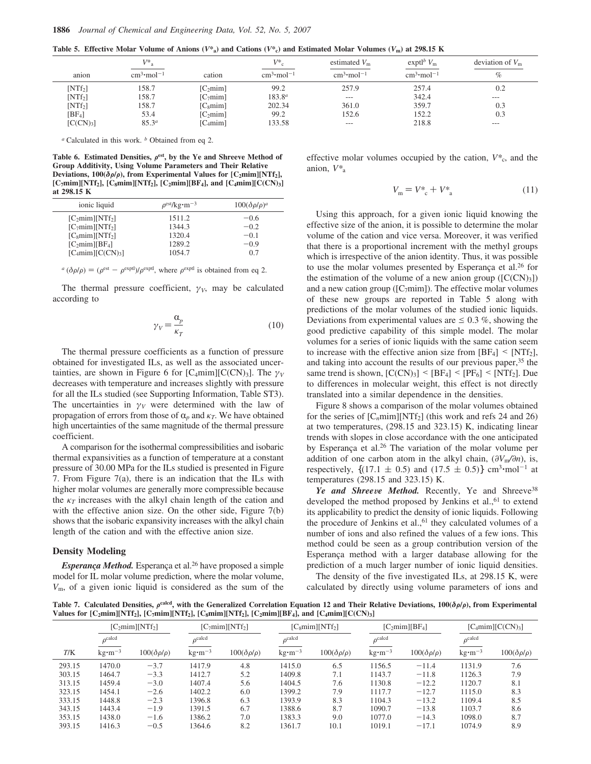**Table 5. Effective Molar Volume of Anions (** $V^*$ **<sub>a</sub>) and Cations (** $V^*$ **<sub>c</sub>) and Estimated Molar Volumes (** $V$ **<sub>m</sub>) at 298.15 K** 

|                       | $V^*$ <sub>a</sub>       |                      | $V^*$                    | estimated $V_{\rm m}$ | expt <sup><math>b</math></sup> $V_m$ | deviation of $V_m$ |
|-----------------------|--------------------------|----------------------|--------------------------|-----------------------|--------------------------------------|--------------------|
| anion                 | $cm3$ ·mol <sup>-1</sup> | cation               | $cm3$ ·mol <sup>-1</sup> | $cm3 \cdot mol-1$     | $cm3$ ·mol <sup>-1</sup>             | $\%$               |
| [NTf <sub>2</sub> ]   | 158.7                    | [C <sub>2</sub> min] | 99.2                     | 257.9                 | 257.4                                | 0.2                |
| [NTf <sub>2</sub> ]   | 158.7                    | [C <sub>7</sub> min] | $183.8^{a}$              | $---$                 | 342.4                                | $---$              |
| $[NTf_2]$             | 158.7                    | [C <sub>smim</sub> ] | 202.34                   | 361.0                 | 359.7                                | 0.3                |
| $[BF_4]$              | 53.4                     | [C <sub>2</sub> min] | 99.2                     | 152.6                 | 152.2                                | 0.3                |
| [C(CN) <sub>3</sub> ] | $85.3^{a}$               | [C <sub>4</sub> min] | 133.58                   | $---$                 | 218.8                                | $---$              |

*<sup>a</sup>* Calculated in this work. *<sup>b</sup>* Obtained from eq 2.

Table 6. Estimated Densities,  $\rho^{\text{est}}$ , by the Ye and Shreeve Method of **Group Additivity, Using Volume Parameters and Their Relative Deviations, 100(** $\delta \rho / \rho$ **), from Experimental Values for [C<sub>2</sub>mim][NTf<sub>2</sub>],**  $[C_7 \text{min}][NTf_2]$ ,  $[C_8 \text{min}][NTf_2]$ ,  $[C_2 \text{min}][BF_4]$ , and  $[C_4 \text{min}][C(CN)_3]$ **at 298.15 K**

| ionic liquid                            | $\rho^{\text{est}}$ /kg·m <sup>-3</sup> | $100(\delta\rho/\rho)^a$ |
|-----------------------------------------|-----------------------------------------|--------------------------|
| [C <sub>2</sub> min][NTf <sub>2</sub> ] | 1511.2                                  | $-0.6$                   |
| [C <sub>7</sub> min][NTf <sub>2</sub> ] | 1344.3                                  | $-0.2$                   |
| [C <sub>smim</sub> ][NTf <sub>2</sub> ] | 1320.4                                  | $-0.1$                   |
| [C <sub>2</sub> min][BF <sub>4</sub> ]  | 1289.2                                  | $-0.9$                   |
| $[C_4min][C(CN)3]$                      | 1054.7                                  | 0.7                      |

 $a$  ( $\delta \rho/\rho$ ) = ( $\rho^{\text{est}} - \rho^{\text{expt}}$ )/ $\rho^{\text{expt}}$ , where  $\rho^{\text{expt}}$  is obtained from eq 2.

The thermal pressure coefficient,  $\gamma_V$ , may be calculated according to

$$
\gamma_V = \frac{\alpha_p}{\kappa_T} \tag{10}
$$

The thermal pressure coefficients as a function of pressure obtained for investigated ILs, as well as the associated uncertainties, are shown in Figure 6 for  $[C_4 \text{min}][C(CN)_3]$ . The  $\gamma_V$ decreases with temperature and increases slightly with pressure for all the ILs studied (see Supporting Information, Table ST3). The uncertainties in  $\gamma_V$  were determined with the law of propagation of errors from those of  $\alpha_p$  and  $\kappa_T$ . We have obtained high uncertainties of the same magnitude of the thermal pressure coefficient.

A comparison for the isothermal compressibilities and isobaric thermal expansivities as a function of temperature at a constant pressure of 30.00 MPa for the ILs studied is presented in Figure 7. From Figure 7(a), there is an indication that the ILs with higher molar volumes are generally more compressible because the  $\kappa_T$  increases with the alkyl chain length of the cation and with the effective anion size. On the other side, Figure 7(b) shows that the isobaric expansivity increases with the alkyl chain length of the cation and with the effective anion size.

### **Density Modeling**

*Esperança Method.* Esperança et al.<sup>26</sup> have proposed a simple model for IL molar volume prediction, where the molar volume, *V*m, of a given ionic liquid is considered as the sum of the effective molar volumes occupied by the cation,  $V^*$ <sub>c</sub>, and the anion, *V\**<sup>a</sup>

$$
V_{\rm m} = V_{\rm c}^* + V_{\rm a}^* \tag{11}
$$

Using this approach, for a given ionic liquid knowing the effective size of the anion, it is possible to determine the molar volume of the cation and vice versa. Moreover, it was verified that there is a proportional increment with the methyl groups which is irrespective of the anion identity. Thus, it was possible to use the molar volumes presented by Esperanca et al.<sup>26</sup> for the estimation of the volume of a new anion group  $([C(CN)<sub>3</sub>])$ and a new cation group ( $[C_7min]$ ). The effective molar volumes of these new groups are reported in Table 5 along with predictions of the molar volumes of the studied ionic liquids. Deviations from experimental values are  $\leq 0.3$  %, showing the good predictive capability of this simple model. The molar volumes for a series of ionic liquids with the same cation seem to increase with the effective anion size from  $[BF_4] \leq [NTf_2]$ , and taking into account the results of our previous paper,<sup>35</sup> the same trend is shown,  $[C(CN)_3]$  <  $[BF_4]$  <  $[PF_6]$  <  $[NTf_2]$ . Due to differences in molecular weight, this effect is not directly translated into a similar dependence in the densities.

Figure 8 shows a comparison of the molar volumes obtained for the series of  $[C_n m i m] [NTf_2]$  (this work and refs 24 and 26) at two temperatures, (298.15 and 323.15) K, indicating linear trends with slopes in close accordance with the one anticipated by Esperança et al.<sup>26</sup> The variation of the molar volume per addition of one carbon atom in the alkyl chain,  $(\partial V_m / \partial n)$ , is, respectively,  $\{(17.1 \pm 0.5) \text{ and } (17.5 \pm 0.5)\}\text{ cm}^3 \cdot \text{mol}^{-1}$  at temperatures (298.15 and 323.15) K.

Ye and Shreeve Method. Recently, Ye and Shreeve<sup>38</sup> developed the method proposed by Jenkins et al.,  $61$  to extend its applicability to predict the density of ionic liquids. Following the procedure of Jenkins et al.,  $61$  they calculated volumes of a number of ions and also refined the values of a few ions. This method could be seen as a group contribution version of the Esperança method with a larger database allowing for the prediction of a much larger number of ionic liquid densities.

The density of the five investigated ILs, at 298.15 K, were calculated by directly using volume parameters of ions and

Table 7. Calculated Densities, *ρ*<sup>caled</sup>, with the Generalized Correlation Equation 12 and Their Relative Deviations, 100(δρ/ρ), from Experimental Values for  $[C_2min][NTf_2]$ ,  $[C_7min][NTf_2]$ ,  $[C_8min][NTf_2]$ ,  $[C_2min][BF_4]$ , and  $[C_4min][C(CN)_3]$ 

|        | $[C_2min][NTf_2]$     |                        |                       | $[C_7min][NTf_2]$      |                       | [C <sub>8</sub> min][NTf <sub>2</sub> ] |                               | $[C_2min][BF_4]$       |                               | $[C_4min][C(CN)_3]$    |
|--------|-----------------------|------------------------|-----------------------|------------------------|-----------------------|-----------------------------------------|-------------------------------|------------------------|-------------------------------|------------------------|
|        | $\rho^{\text{calcd}}$ |                        | $\rho^{\text{calcd}}$ |                        | $\rho^{\text{calcd}}$ |                                         | $\rho^{\text{calcd}}$         |                        | $\rho^{\text{calcd}}$         |                        |
| T/K    | $kg \cdot m^{-3}$     | $100(\delta\rho/\rho)$ | $kg \cdot m^{-3}$     | $100(\delta\rho/\rho)$ | $kg \cdot m^{-3}$     | $100(\delta \rho/\rho)$                 | $\text{kg}\cdot\text{m}^{-3}$ | $100(\delta\rho/\rho)$ | $\text{kg}\cdot\text{m}^{-3}$ | $100(\delta\rho/\rho)$ |
| 293.15 | 1470.0                | $-3.7$                 | 1417.9                | 4.8                    | 1415.0                | 6.5                                     | 1156.5                        | $-11.4$                | 1131.9                        | 7.6                    |
| 303.15 | 1464.7                | $-3.3$                 | 1412.7                | 5.2                    | 1409.8                | 7.1                                     | 1143.7                        | $-11.8$                | 1126.3                        | 7.9                    |
| 313.15 | 1459.4                | $-3.0$                 | 1407.4                | 5.6                    | 1404.5                | 7.6                                     | 1130.8                        | $-12.2$                | 1120.7                        | 8.1                    |
| 323.15 | 1454.1                | $-2.6$                 | 1402.2                | 6.0                    | 1399.2                | 7.9                                     | 1117.7                        | $-12.7$                | 1115.0                        | 8.3                    |
| 333.15 | 1448.8                | $-2.3$                 | 1396.8                | 6.3                    | 1393.9                | 8.3                                     | 1104.3                        | $-13.2$                | 1109.4                        | 8.5                    |
| 343.15 | 1443.4                | $-1.9$                 | 1391.5                | 6.7                    | 1388.6                | 8.7                                     | 1090.7                        | $-13.8$                | 1103.7                        | 8.6                    |
| 353.15 | 1438.0                | $-1.6$                 | 1386.2                | 7.0                    | 1383.3                | 9.0                                     | 1077.0                        | $-14.3$                | 1098.0                        | 8.7                    |
| 393.15 | 1416.3                | $-0.5$                 | 1364.6                | 8.2                    | 1361.7                | 10.1                                    | 1019.1                        | $-17.1$                | 1074.9                        | 8.9                    |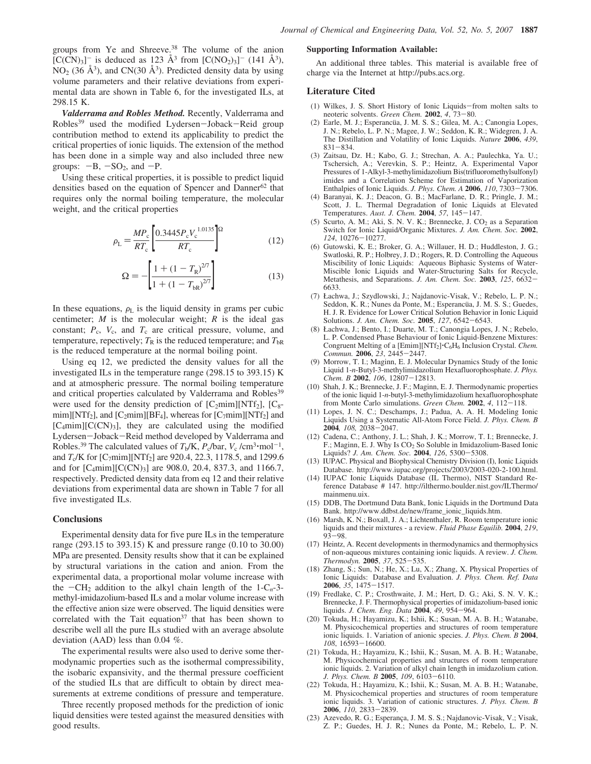groups from Ye and Shreeve.<sup>38</sup> The volume of the anion  $[C(CN)<sub>3</sub>]$ <sup>-</sup> is deduced as 123 Å<sup>3</sup> from  $[C(NO<sub>2</sub>)<sub>3</sub>]$ <sup>-</sup> (141 Å<sup>3</sup>),  $NO<sub>2</sub>$  (36 Å<sup>3</sup>), and CN(30 Å<sup>3</sup>). Predicted density data by using volume parameters and their relative deviations from experimental data are shown in Table 6, for the investigated ILs, at 298.15 K.

*Valderrama and Robles Method.* Recently, Valderrama and Robles<sup>39</sup> used the modified Lydersen-Joback-Reid group contribution method to extend its applicability to predict the critical properties of ionic liquids. The extension of the method has been done in a simple way and also included three new groups:  $-B$ ,  $-SO<sub>2</sub>$ , and  $-P$ .

Using these critical properties, it is possible to predict liquid densities based on the equation of Spencer and Danner<sup>62</sup> that requires only the normal boiling temperature, the molecular weight, and the critical properties

$$
\rho_{\rm L} = \frac{MP_{\rm c}}{RT_{\rm c}} \left[ \frac{0.3445 P_{\rm c} V_{\rm c}^{1.0135}}{RT_{\rm c}} \right]^{\Omega} \tag{12}
$$

$$
\Omega = -\left[\frac{1 + (1 - T_{\rm R})^{2/7}}{1 + (1 - T_{\rm bR})^{2/7}}\right]
$$
(13)

In these equations,  $\rho_L$  is the liquid density in grams per cubic centimeter; *M* is the molecular weight; *R* is the ideal gas constant;  $P_c$ ,  $V_c$ , and  $T_c$  are critical pressure, volume, and temperature, repectively;  $T_R$  is the reduced temperature; and  $T_{\text{bR}}$ is the reduced temperature at the normal boiling point.

Using eq 12, we predicted the density values for all the investigated ILs in the temperature range (298.15 to 393.15) K and at atmospheric pressure. The normal boiling temperature and critical properties calculated by Valderrama and Robles<sup>39</sup> were used for the density prediction of  $[C_2min][NTf_2]$ ,  $[C_8$ mim][NTf<sub>2</sub>], and [C<sub>2</sub>mim][BF<sub>4</sub>], whereas for [C<sub>7</sub>mim][NTf<sub>2</sub>] and  $[C_4min][C(CN)_3]$ , they are calculated using the modified Lydersen-Joback-Reid method developed by Valderrama and Robles.<sup>39</sup> The calculated values of  $T_b/K$ ,  $P_c/har$ ,  $V_c /cm^3 \cdot mol^{-1}$ , and *T*<sub>c</sub>/K for [C<sub>7</sub>mim][NTf<sub>2</sub>] are 920.4, 22.3, 1178.5, and 1299.6 and for  $[C_4mim][C(CN)_3]$  are 908.0, 20.4, 837.3, and 1166.7, respectively. Predicted density data from eq 12 and their relative deviations from experimental data are shown in Table 7 for all five investigated ILs.

## **Conclusions**

Experimental density data for five pure ILs in the temperature range (293.15 to 393.15) K and pressure range (0.10 to 30.00) MPa are presented. Density results show that it can be explained by structural variations in the cation and anion. From the experimental data, a proportional molar volume increase with the  $-CH_2$  addition to the alkyl chain length of the  $1-C_n-3$ methyl-imidazolium-based ILs and a molar volume increase with the effective anion size were observed. The liquid densities were correlated with the Tait equation<sup>37</sup> that has been shown to describe well all the pure ILs studied with an average absolute deviation (AAD) less than 0.04 %.

The experimental results were also used to derive some thermodynamic properties such as the isothermal compressibility, the isobaric expansivity, and the thermal pressure coefficient of the studied ILs that are difficult to obtain by direct measurements at extreme conditions of pressure and temperature.

Three recently proposed methods for the prediction of ionic liquid densities were tested against the measured densities with good results.

#### **Supporting Information Available:**

An additional three tables. This material is available free of charge via the Internet at http://pubs.acs.org.

#### **Literature Cited**

- (1) Wilkes, J. S. Short History of Ionic Liquids-from molten salts to neoteric solvents. *Green Chem.* **2002**, *4*, 73-80.
- (2) Earle, M. J.; Esperancüa, J. M. S. S.; Gilea, M. A.; Canongia Lopes, J. N.; Rebelo, L. P. N.; Magee, J. W.; Seddon, K. R.; Widegren, J. A. The Distillation and Volatility of Ionic Liquids. *Nature* **2006**, *439*, 831-834.
- (3) Zaitsau, Dz. H.; Kabo, G. J.; Strechan, A. A.; Paulechka, Ya. U.; Tschersich, A.; Verevkin, S. P.; Heintz, A. Experimental Vapor Pressures of 1-Alkyl-3-methylimidazolium Bis(trifluoromethylsulfonyl) imides and a Correlation Scheme for Estimation of Vaporization Enthalpies of Ionic Liquids. *J. Phys. Chem. A* **2006**, *110*, 7303-7306.
- (4) Baranyai, K. J.; Deacon, G. B.; MacFarlane, D. R.; Pringle, J. M.; Scott, J. L. Thermal Degradation of Ionic Liquids at Elevated Temperatures. *Aust. J. Chem.* **2004**, *57*, 145-147.
- (5) Scurto, A. M.; Aki, S. N. V. K.; Brennecke, J.  $CO<sub>2</sub>$  as a Separation Switch for Ionic Liquid/Organic Mixtures. *J. Am. Chem. Soc.* **2002**, *124*, 10276-10277.
- (6) Gutowski, K. E.; Broker, G. A.; Willauer, H. D.; Huddleston, J. G.; Swatloski, R. P.; Holbrey, J. D.; Rogers, R. D. Controlling the Aqueous Miscibility of Ionic Liquids: Aqueous Biphasic Systems of Water-Miscible Ionic Liquids and Water-Structuring Salts for Recycle, Metathesis, and Separations. *J. Am. Chem. Soc.* **2003**, *125*, 6632- 6633.
- (7) Łachwa, J.; Szydlowski, J.; Najdanovic-Visak, V.; Rebelo, L. P. N.; Seddon, K. R.; Nunes da Ponte, M.; Esperancüa, J. M. S. S.; Guedes, H. J. R. Evidence for Lower Critical Solution Behavior in Ionic Liquid Solutions. *J. Am. Chem. Soc.* **2005**, *127*, 6542-6543.
- (8) Łachwa, J.; Bento, I.; Duarte, M. T.; Canongia Lopes, J. N.; Rebelo, L. P. Condensed Phase Behaviour of Ionic Liquid-Benzene Mixtures: Congruent Melting of a [Emim][NTf2]'C6H<sup>6</sup> Inclusion Crystal. *Chem. Commun.* **2006**, *23*, 2445-2447.
- (9) Morrow, T. I.; Maginn, E. J. Molecular Dynamics Study of the Ionic Liquid 1-*n*-Butyl-3-methylimidazolium Hexafluorophosphate. *J. Phys. Chem. B* **2002**, *106*, 12807-12813.
- (10) Shah, J. K.; Brennecke, J. F.; Maginn, E. J. Thermodynamic properties of the ionic liquid 1-*n*-butyl-3-methylimidazolium hexafluorophosphate from Monte Carlo simulations. *Green Chem.* **2002**, *4*, 112-118.
- (11) Lopes, J. N. C.; Deschamps, J.; Padua, A. A. H. Modeling Ionic Liquids Using a Systematic All-Atom Force Field. *J. Phys. Chem. B* **2004***, 108,* 2038-2047.
- (12) Cadena, C.; Anthony, J. L.; Shah, J. K.; Morrow, T. I.; Brennecke, J. F.; Maginn, E. J. Why Is CO<sup>2</sup> So Soluble in Imidazolium-Based Ionic Liquids? *J. Am. Chem. Soc.* **2004**, *126*, 5300-5308.
- (13) IUPAC. Physical and Biophysical Chemistry Division (I), Ionic Liquids Database. http://www.iupac.org/projects/2003/2003-020-2-100.html.
- (14) IUPAC Ionic Liquids Database (IL Thermo), NIST Standard Reference Database # 147. http://ilthermo.boulder.nist.gov/ILThermo/ mainmenu.uix.
- (15) DDB, The Dortmund Data Bank, Ionic Liquids in the Dortmund Data Bank. http://www.ddbst.de/new/frame\_ionic\_liquids.htm.
- (16) Marsh, K. N.; Boxall, J. A.; Lichtenthaler, R. Room temperature ionic liquids and their mixtures - a review. *Fluid Phase Equilib.* **2004**, *219*, 93-98.
- (17) Heintz, A. Recent developments in thermodynamics and thermophysics of non-aqueous mixtures containing ionic liquids. A review. *J. Chem. Thermodyn.* **2005**, *37*, 525-535.
- (18) Zhang, S.; Sun, N.; He, X.; Lu, X.; Zhang, X. Physical Properties of Ionic Liquids: Database and Evaluation. *J. Phys. Chem. Ref. Data* **2006**, *35*, 1475-1517.
- (19) Fredlake, C. P.; Crosthwaite, J. M.; Hert, D. G.; Aki, S. N. V. K.; Brennecke, J. F. Thermophysical properties of imidazolium-based ionic liquids. *J. Chem. Eng. Data* **2004**, *49*, 954-964.
- (20) Tokuda, H.; Hayamizu, K.; Ishii, K.; Susan, M. A. B. H.; Watanabe, M. Physicochemical properties and structures of room temperature ionic liquids. 1. Variation of anionic species. *J. Phys. Chem. B* **2004**, *108*, 16593-16600.
- (21) Tokuda, H.; Hayamizu, K.; Ishii, K.; Susan, M. A. B. H.; Watanabe, M. Physicochemical properties and structures of room temperature ionic liquids. 2. Variation of alkyl chain length in imidazolium cation. *J. Phys. Chem. B* **2005**, *109*, 6103-6110.
- (22) Tokuda, H.; Hayamizu, K.; Ishii, K.; Susan, M. A. B. H.; Watanabe, M. Physicochemical properties and structures of room temperature ionic liquids. 3. Variation of cationic structures. *J. Phys. Chem. B* **2006**, *110*, 2833-2839.
- (23) Azevedo, R. G.; Esperança, J. M. S. S.; Najdanovic-Visak, V.; Visak, Z. P.; Guedes, H. J. R.; Nunes da Ponte, M.; Rebelo, L. P. N.